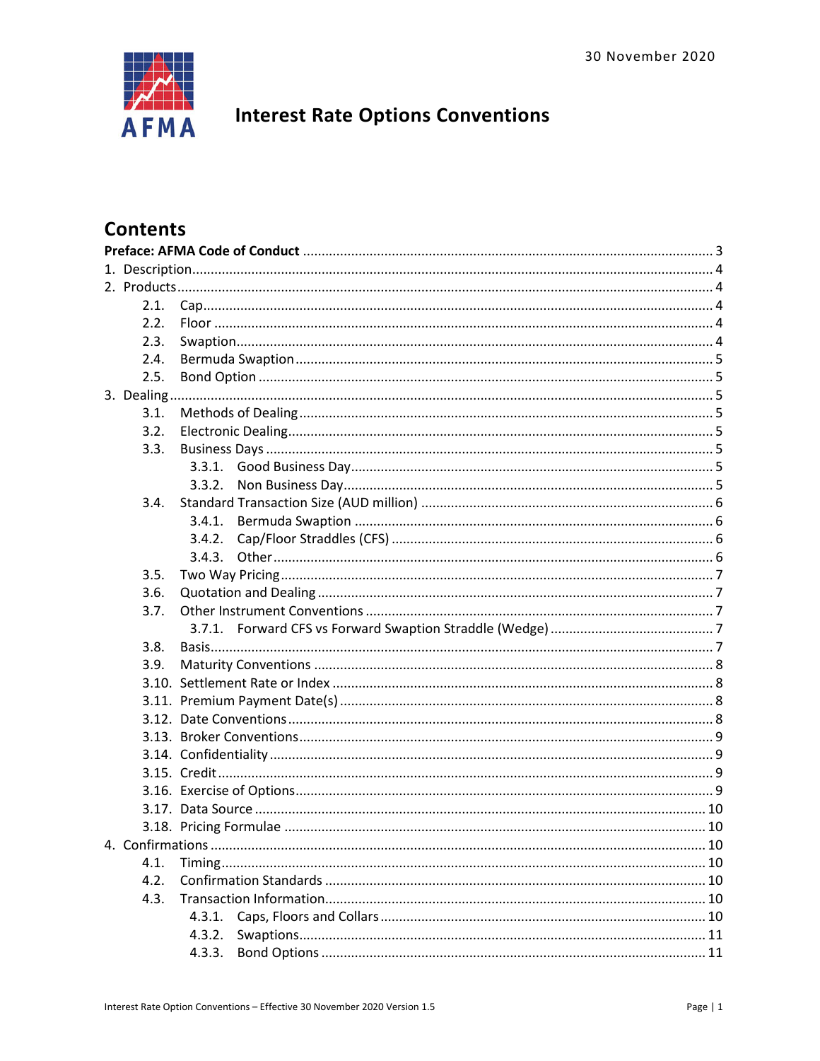

# **Interest Rate Options Conventions**

# **Contents**

| 2.1. |           |  |  |  |  |
|------|-----------|--|--|--|--|
| 2.2. |           |  |  |  |  |
| 2.3. |           |  |  |  |  |
| 2.4. |           |  |  |  |  |
| 2.5. |           |  |  |  |  |
|      |           |  |  |  |  |
| 3.1. |           |  |  |  |  |
| 3.2. |           |  |  |  |  |
| 3.3. |           |  |  |  |  |
|      |           |  |  |  |  |
|      | 3.3.2.    |  |  |  |  |
| 3.4. |           |  |  |  |  |
|      | 3.4.1.    |  |  |  |  |
|      | 3.4.2.    |  |  |  |  |
|      | 3.4.3.    |  |  |  |  |
| 3.5. |           |  |  |  |  |
| 3.6. |           |  |  |  |  |
| 3.7. |           |  |  |  |  |
|      |           |  |  |  |  |
| 3.8. |           |  |  |  |  |
| 3.9. |           |  |  |  |  |
|      |           |  |  |  |  |
|      |           |  |  |  |  |
|      |           |  |  |  |  |
|      |           |  |  |  |  |
|      |           |  |  |  |  |
|      |           |  |  |  |  |
|      |           |  |  |  |  |
|      |           |  |  |  |  |
|      |           |  |  |  |  |
|      | $\sim$ 10 |  |  |  |  |
| 4.1. |           |  |  |  |  |
| 4.2. |           |  |  |  |  |
| 4.3. |           |  |  |  |  |
|      | 4.3.1.    |  |  |  |  |
|      | 4.3.2.    |  |  |  |  |
|      | 4.3.3.    |  |  |  |  |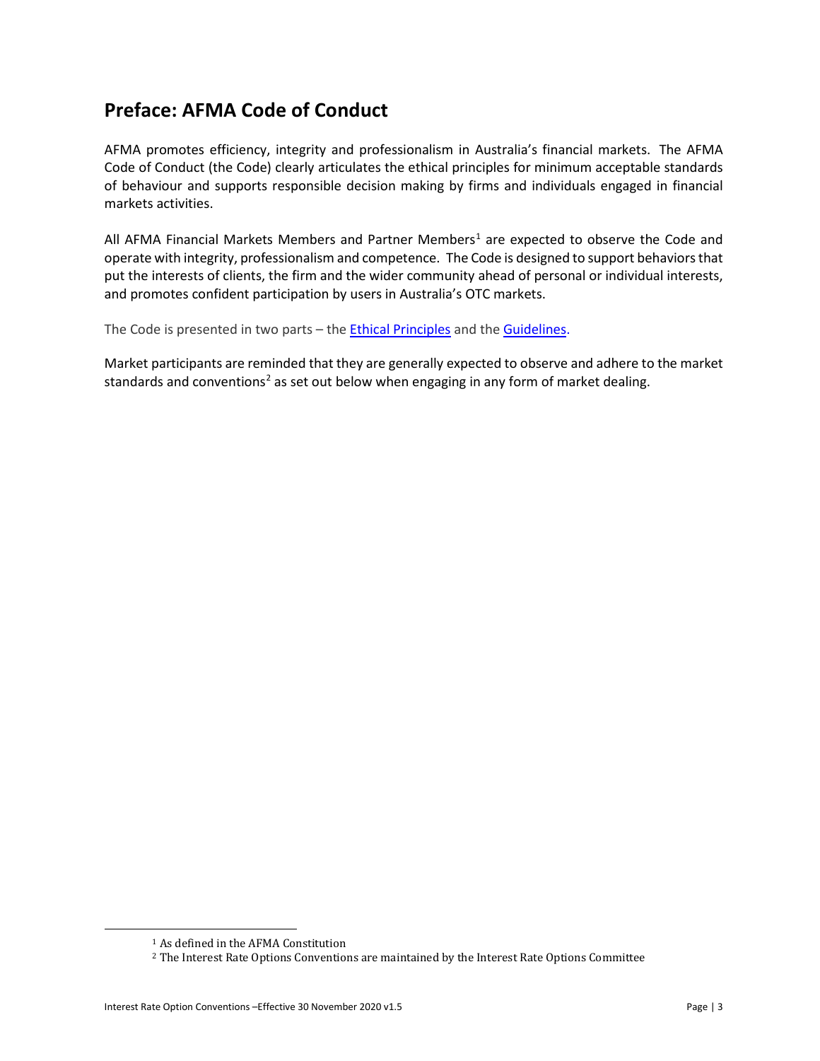# <span id="page-2-0"></span>**Preface: AFMA Code of Conduct**

AFMA promotes efficiency, integrity and professionalism in Australia's financial markets. The AFMA Code of Conduct (the Code) clearly articulates the ethical principles for minimum acceptable standards of behaviour and supports responsible decision making by firms and individuals engaged in financial markets activities.

All AFMA Financial Markets Members and Partner Members<sup>[1](#page-2-1)</sup> are expected to observe the Code and operate with integrity, professionalism and competence. The Code is designed to support behaviors that put the interests of clients, the firm and the wider community ahead of personal or individual interests, and promotes confident participation by users in Australia's OTC markets.

The Code is presented in two parts - the **Ethical Principles** and the **Guidelines**.

Market participants are reminded that they are generally expected to observe and adhere to the market standards and conventions<sup>[2](#page-2-2)</sup> as set out below when engaging in any form of market dealing.

<sup>1</sup> As defined in the AFMA Constitution

<span id="page-2-2"></span><span id="page-2-1"></span><sup>2</sup> The Interest Rate Options Conventions are maintained by the Interest Rate Options Committee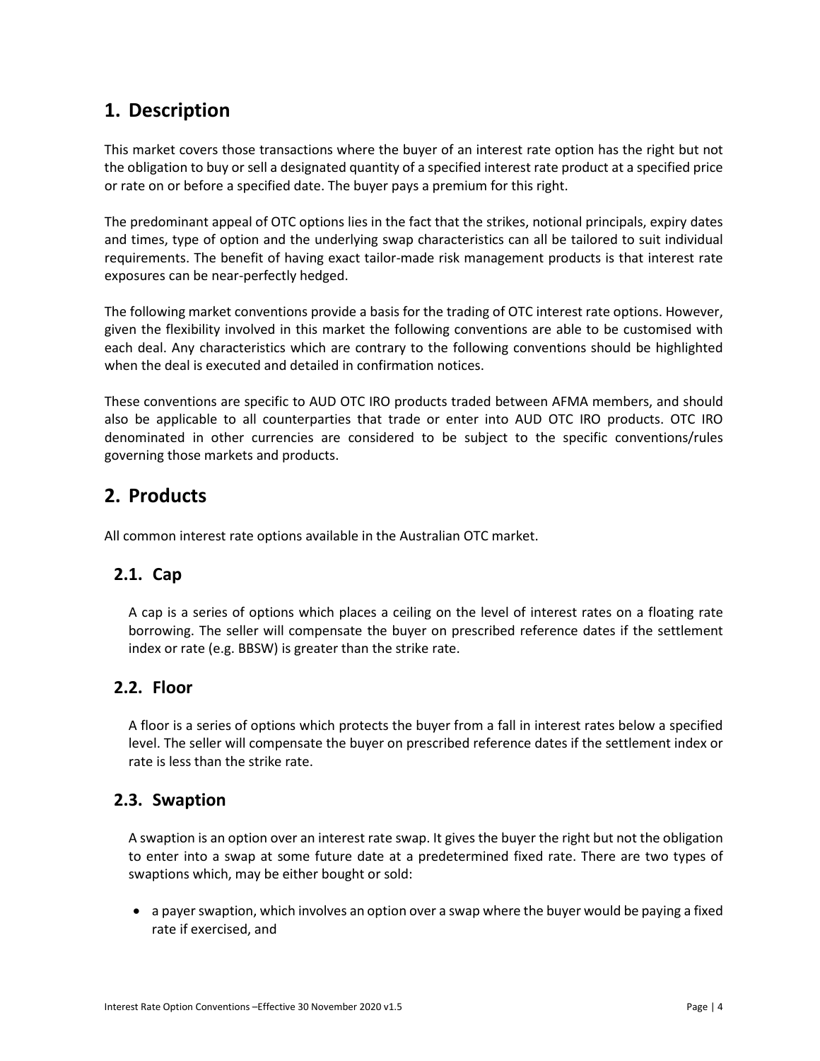# <span id="page-3-0"></span>**1. Description**

This market covers those transactions where the buyer of an interest rate option has the right but not the obligation to buy or sell a designated quantity of a specified interest rate product at a specified price or rate on or before a specified date. The buyer pays a premium for this right.

The predominant appeal of OTC options lies in the fact that the strikes, notional principals, expiry dates and times, type of option and the underlying swap characteristics can all be tailored to suit individual requirements. The benefit of having exact tailor-made risk management products is that interest rate exposures can be near-perfectly hedged.

The following market conventions provide a basis for the trading of OTC interest rate options. However, given the flexibility involved in this market the following conventions are able to be customised with each deal. Any characteristics which are contrary to the following conventions should be highlighted when the deal is executed and detailed in confirmation notices.

These conventions are specific to AUD OTC IRO products traded between AFMA members, and should also be applicable to all counterparties that trade or enter into AUD OTC IRO products. OTC IRO denominated in other currencies are considered to be subject to the specific conventions/rules governing those markets and products.

# <span id="page-3-1"></span>**2. Products**

All common interest rate options available in the Australian OTC market.

## <span id="page-3-2"></span>**2.1. Cap**

A cap is a series of options which places a ceiling on the level of interest rates on a floating rate borrowing. The seller will compensate the buyer on prescribed reference dates if the settlement index or rate (e.g. BBSW) is greater than the strike rate.

## <span id="page-3-3"></span>**2.2. Floor**

A floor is a series of options which protects the buyer from a fall in interest rates below a specified level. The seller will compensate the buyer on prescribed reference dates if the settlement index or rate is less than the strike rate.

## <span id="page-3-4"></span>**2.3. Swaption**

A swaption is an option over an interest rate swap. It gives the buyer the right but not the obligation to enter into a swap at some future date at a predetermined fixed rate. There are two types of swaptions which, may be either bought or sold:

• a payer swaption, which involves an option over a swap where the buyer would be paying a fixed rate if exercised, and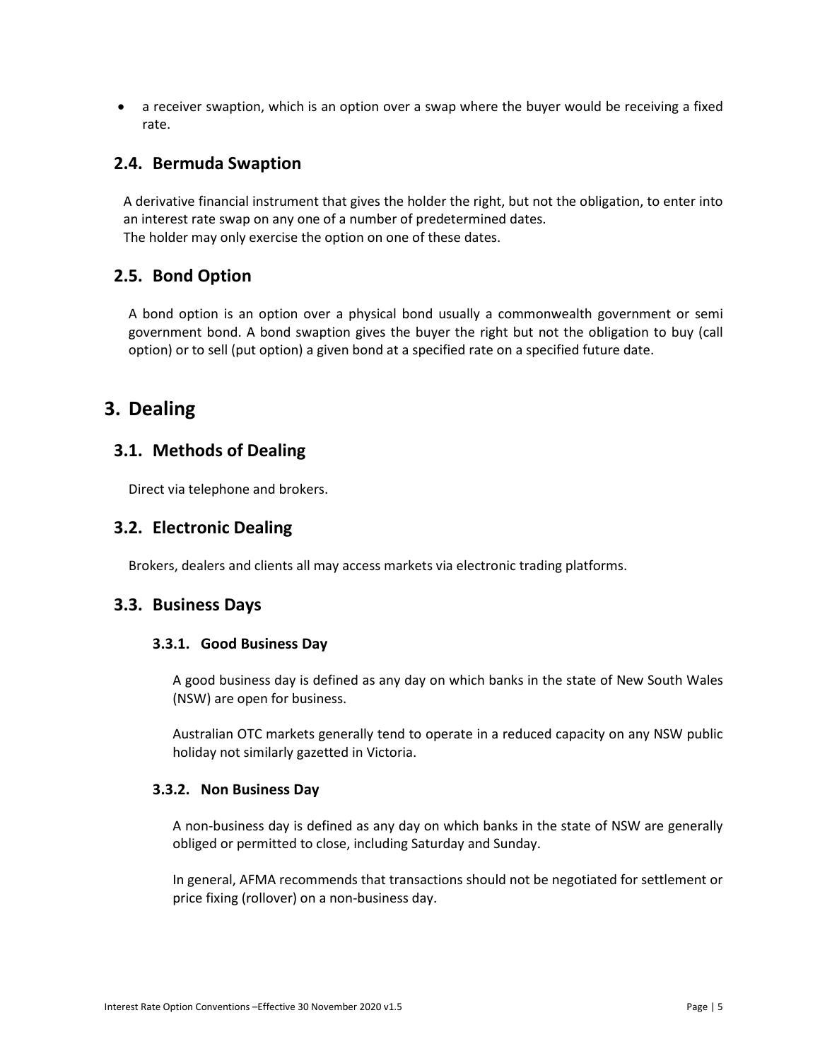• a receiver swaption, which is an option over a swap where the buyer would be receiving a fixed rate.

### <span id="page-4-0"></span>**2.4. Bermuda Swaption**

A derivative financial instrument that gives the holder the right, but not the obligation, to enter into an interest rate swap on any one of a number of predetermined dates. The holder may only exercise the option on one of these dates.

## <span id="page-4-1"></span>**2.5. Bond Option**

A bond option is an option over a physical bond usually a commonwealth government or semi government bond. A bond swaption gives the buyer the right but not the obligation to buy (call option) or to sell (put option) a given bond at a specified rate on a specified future date.

# <span id="page-4-2"></span>**3. Dealing**

## <span id="page-4-3"></span>**3.1. Methods of Dealing**

Direct via telephone and brokers.

### <span id="page-4-4"></span>**3.2. Electronic Dealing**

Brokers, dealers and clients all may access markets via electronic trading platforms.

### <span id="page-4-6"></span><span id="page-4-5"></span>**3.3. Business Days**

#### **3.3.1. Good Business Day**

A good business day is defined as any day on which banks in the state of New South Wales (NSW) are open for business.

Australian OTC markets generally tend to operate in a reduced capacity on any NSW public holiday not similarly gazetted in Victoria.

#### <span id="page-4-7"></span>**3.3.2. Non Business Day**

A non-business day is defined as any day on which banks in the state of NSW are generally obliged or permitted to close, including Saturday and Sunday.

In general, AFMA recommends that transactions should not be negotiated for settlement or price fixing (rollover) on a non-business day.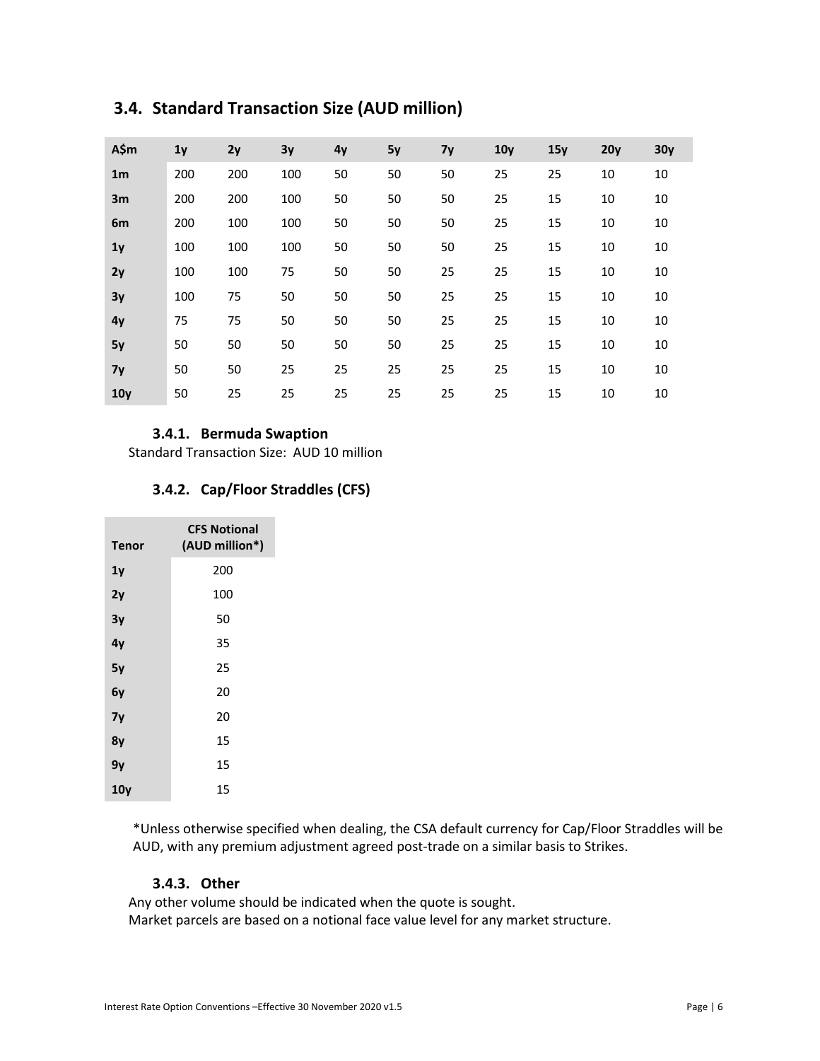| A\$m           | 1 <sub>y</sub> | 2y  | 3y  | 4y | 5y | <b>7y</b> | 10 <sub>y</sub> | 15y | 20y | 30y |
|----------------|----------------|-----|-----|----|----|-----------|-----------------|-----|-----|-----|
| 1 <sub>m</sub> | 200            | 200 | 100 | 50 | 50 | 50        | 25              | 25  | 10  | 10  |
| 3m             | 200            | 200 | 100 | 50 | 50 | 50        | 25              | 15  | 10  | 10  |
| 6 <sub>m</sub> | 200            | 100 | 100 | 50 | 50 | 50        | 25              | 15  | 10  | 10  |
| 1 <sub>y</sub> | 100            | 100 | 100 | 50 | 50 | 50        | 25              | 15  | 10  | 10  |
| 2y             | 100            | 100 | 75  | 50 | 50 | 25        | 25              | 15  | 10  | 10  |
| 3y             | 100            | 75  | 50  | 50 | 50 | 25        | 25              | 15  | 10  | 10  |
| 4y             | 75             | 75  | 50  | 50 | 50 | 25        | 25              | 15  | 10  | 10  |
| 5y             | 50             | 50  | 50  | 50 | 50 | 25        | 25              | 15  | 10  | 10  |
| 7y             | 50             | 50  | 25  | 25 | 25 | 25        | 25              | 15  | 10  | 10  |
| 10y            | 50             | 25  | 25  | 25 | 25 | 25        | 25              | 15  | 10  | 10  |

# <span id="page-5-0"></span>**3.4. Standard Transaction Size (AUD million)**

#### **3.4.1. Bermuda Swaption**

<span id="page-5-1"></span>Standard Transaction Size: AUD 10 million

#### **3.4.2. Cap/Floor Straddles (CFS)**

<span id="page-5-2"></span>

| <b>Tenor</b> | <b>CFS Notional</b><br>(AUD million*) |  |  |
|--------------|---------------------------------------|--|--|
| 1y           | 200                                   |  |  |
| 2y           | 100                                   |  |  |
| 3y           | 50                                    |  |  |
| 4y           | 35                                    |  |  |
| 5y           | 25                                    |  |  |
| 6y           | 20                                    |  |  |
| 7у           | 20                                    |  |  |
| 8γ           | 15                                    |  |  |
| 9γ           | 15                                    |  |  |
| 10y          | 15                                    |  |  |

\*Unless otherwise specified when dealing, the CSA default currency for Cap/Floor Straddles will be AUD, with any premium adjustment agreed post-trade on a similar basis to Strikes.

#### **3.4.3. Other**

<span id="page-5-3"></span>Any other volume should be indicated when the quote is sought. Market parcels are based on a notional face value level for any market structure.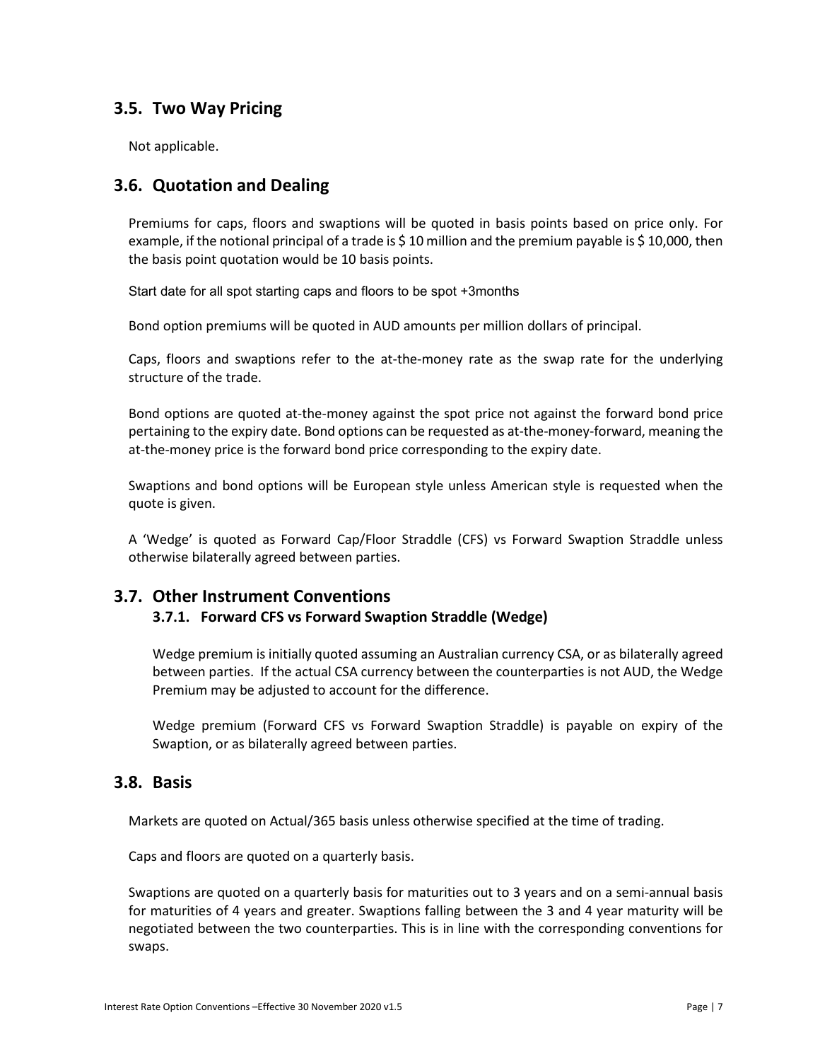## <span id="page-6-0"></span>**3.5. Two Way Pricing**

Not applicable.

## <span id="page-6-1"></span>**3.6. Quotation and Dealing**

Premiums for caps, floors and swaptions will be quoted in basis points based on price only. For example, if the notional principal of a trade is \$10 million and the premium payable is \$10,000, then the basis point quotation would be 10 basis points.

Start date for all spot starting caps and floors to be spot +3months

Bond option premiums will be quoted in AUD amounts per million dollars of principal.

Caps, floors and swaptions refer to the at-the-money rate as the swap rate for the underlying structure of the trade.

Bond options are quoted at-the-money against the spot price not against the forward bond price pertaining to the expiry date. Bond options can be requested as at-the-money-forward, meaning the at-the-money price is the forward bond price corresponding to the expiry date.

Swaptions and bond options will be European style unless American style is requested when the quote is given.

A 'Wedge' is quoted as Forward Cap/Floor Straddle (CFS) vs Forward Swaption Straddle unless otherwise bilaterally agreed between parties.

## <span id="page-6-3"></span><span id="page-6-2"></span>**3.7. Other Instrument Conventions**

#### **3.7.1. Forward CFS vs Forward Swaption Straddle (Wedge)**

Wedge premium is initially quoted assuming an Australian currency CSA, or as bilaterally agreed between parties. If the actual CSA currency between the counterparties is not AUD, the Wedge Premium may be adjusted to account for the difference.

Wedge premium (Forward CFS vs Forward Swaption Straddle) is payable on expiry of the Swaption, or as bilaterally agreed between parties.

### <span id="page-6-4"></span>**3.8. Basis**

Markets are quoted on Actual/365 basis unless otherwise specified at the time of trading.

Caps and floors are quoted on a quarterly basis.

Swaptions are quoted on a quarterly basis for maturities out to 3 years and on a semi-annual basis for maturities of 4 years and greater. Swaptions falling between the 3 and 4 year maturity will be negotiated between the two counterparties. This is in line with the corresponding conventions for swaps.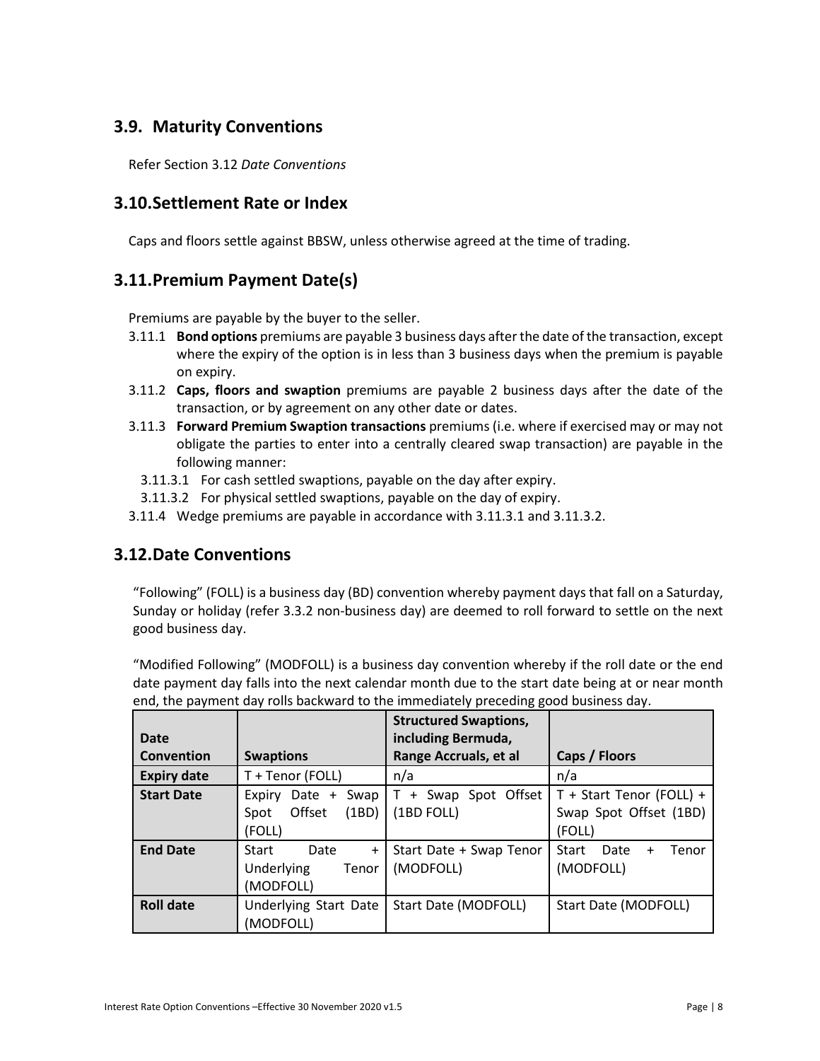# <span id="page-7-0"></span>**3.9. Maturity Conventions**

Refer Section 3.12 *Date Conventions*

## <span id="page-7-1"></span>**3.10.Settlement Rate or Index**

Caps and floors settle against BBSW, unless otherwise agreed at the time of trading.

# <span id="page-7-2"></span>**3.11.Premium Payment Date(s)**

Premiums are payable by the buyer to the seller.

- 3.11.1 **Bond options** premiums are payable 3 business days after the date of the transaction, except where the expiry of the option is in less than 3 business days when the premium is payable on expiry.
- 3.11.2 **Caps, floors and swaption** premiums are payable 2 business days after the date of the transaction, or by agreement on any other date or dates.
- 3.11.3 **Forward Premium Swaption transactions** premiums (i.e. where if exercised may or may not obligate the parties to enter into a centrally cleared swap transaction) are payable in the following manner:
	- 3.11.3.1 For cash settled swaptions, payable on the day after expiry.
	- 3.11.3.2 For physical settled swaptions, payable on the day of expiry.
- 3.11.4 Wedge premiums are payable in accordance with 3.11.3.1 and 3.11.3.2.

## <span id="page-7-3"></span>**3.12.Date Conventions**

"Following" (FOLL) is a business day (BD) convention whereby payment days that fall on a Saturday, Sunday or holiday (refer 3.3.2 non-business day) are deemed to roll forward to settle on the next good business day.

"Modified Following" (MODFOLL) is a business day convention whereby if the roll date or the end date payment day falls into the next calendar month due to the start date being at or near month end, the payment day rolls backward to the immediately preceding good business day.

|                    |                                                                       | <b>Structured Swaptions,</b>           |                                                              |
|--------------------|-----------------------------------------------------------------------|----------------------------------------|--------------------------------------------------------------|
| Date               |                                                                       | including Bermuda,                     |                                                              |
| Convention         | <b>Swaptions</b>                                                      | Range Accruals, et al                  | Caps / Floors                                                |
| <b>Expiry date</b> | T + Tenor (FOLL)                                                      | n/a                                    | n/a                                                          |
| <b>Start Date</b>  | Swap<br>Date +<br>Expiry<br>Offset<br>(1BD)<br>Spot<br>(FOLL)         | + Swap Spot Offset<br>T.<br>(1BD FOLL) | T + Start Tenor (FOLL) +<br>Swap Spot Offset (1BD)<br>(FOLL) |
| <b>End Date</b>    | Date<br><b>Start</b><br>$\ddot{}$<br>Underlying<br>Tenor<br>(MODFOLL) | Start Date + Swap Tenor<br>(MODFOLL)   | Start<br>Date<br>Tenor<br>$\ddot{}$<br>(MODFOLL)             |
| <b>Roll date</b>   | Underlying Start Date<br>(MODFOLL)                                    | Start Date (MODFOLL)                   | Start Date (MODFOLL)                                         |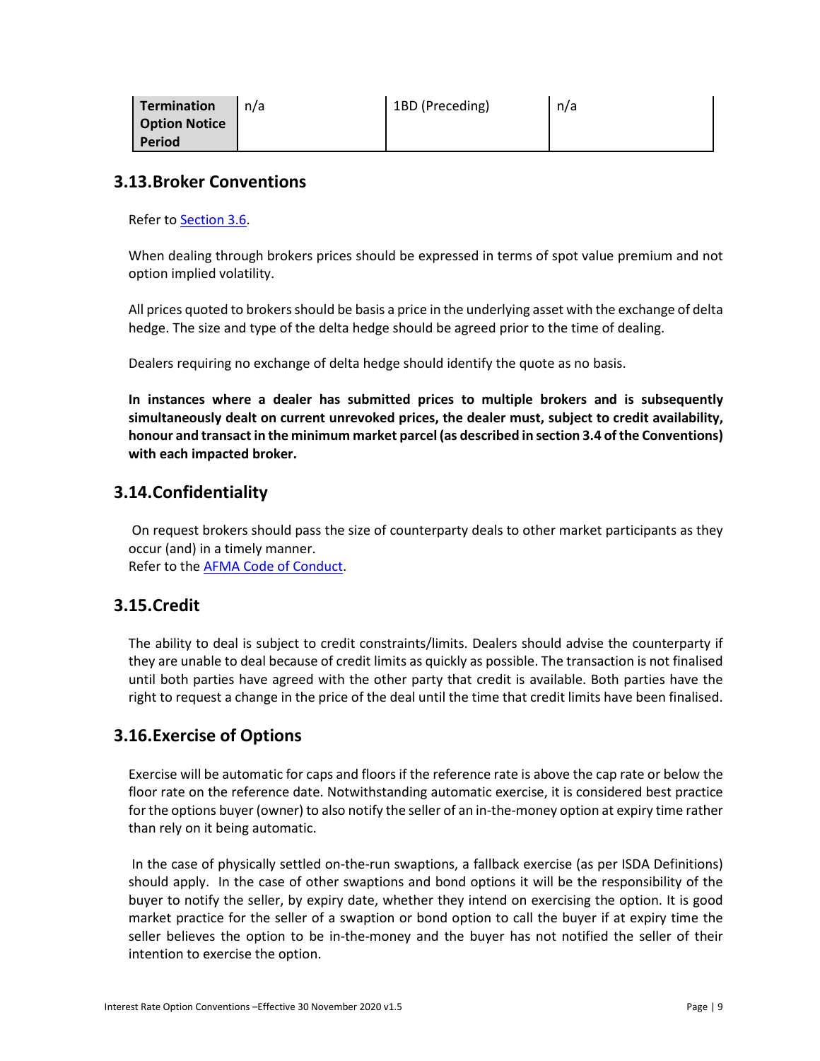| <b>Termination</b> | n/a | 1BD (Preceding) | n/a |
|--------------------|-----|-----------------|-----|
| Option Notice      |     |                 |     |
| <b>Period</b>      |     |                 |     |

### <span id="page-8-0"></span>**3.13.Broker Conventions**

Refer t[o Section 3.6.](#page-6-1)

When dealing through brokers prices should be expressed in terms of spot value premium and not option implied volatility.

All prices quoted to brokers should be basis a price in the underlying asset with the exchange of delta hedge. The size and type of the delta hedge should be agreed prior to the time of dealing.

Dealers requiring no exchange of delta hedge should identify the quote as no basis.

**In instances where a dealer has submitted prices to multiple brokers and is subsequently simultaneously dealt on current unrevoked prices, the dealer must, subject to credit availability, honour and transact in the minimum market parcel (as described in section 3.4 of the Conventions) with each impacted broker.**

## <span id="page-8-1"></span>**3.14.Confidentiality**

On request brokers should pass the size of counterparty deals to other market participants as they occur (and) in a timely manner. Refer to the **AFMA Code of Conduct**.

## <span id="page-8-2"></span>**3.15.Credit**

The ability to deal is subject to credit constraints/limits. Dealers should advise the counterparty if they are unable to deal because of credit limits as quickly as possible. The transaction is not finalised until both parties have agreed with the other party that credit is available. Both parties have the right to request a change in the price of the deal until the time that credit limits have been finalised.

## <span id="page-8-3"></span>**3.16.Exercise of Options**

Exercise will be automatic for caps and floors if the reference rate is above the cap rate or below the floor rate on the reference date. Notwithstanding automatic exercise, it is considered best practice for the options buyer (owner) to also notify the seller of an in-the-money option at expiry time rather than rely on it being automatic.

In the case of physically settled on-the-run swaptions, a fallback exercise (as per ISDA Definitions) should apply. In the case of other swaptions and bond options it will be the responsibility of the buyer to notify the seller, by expiry date, whether they intend on exercising the option. It is good market practice for the seller of a swaption or bond option to call the buyer if at expiry time the seller believes the option to be in-the-money and the buyer has not notified the seller of their intention to exercise the option.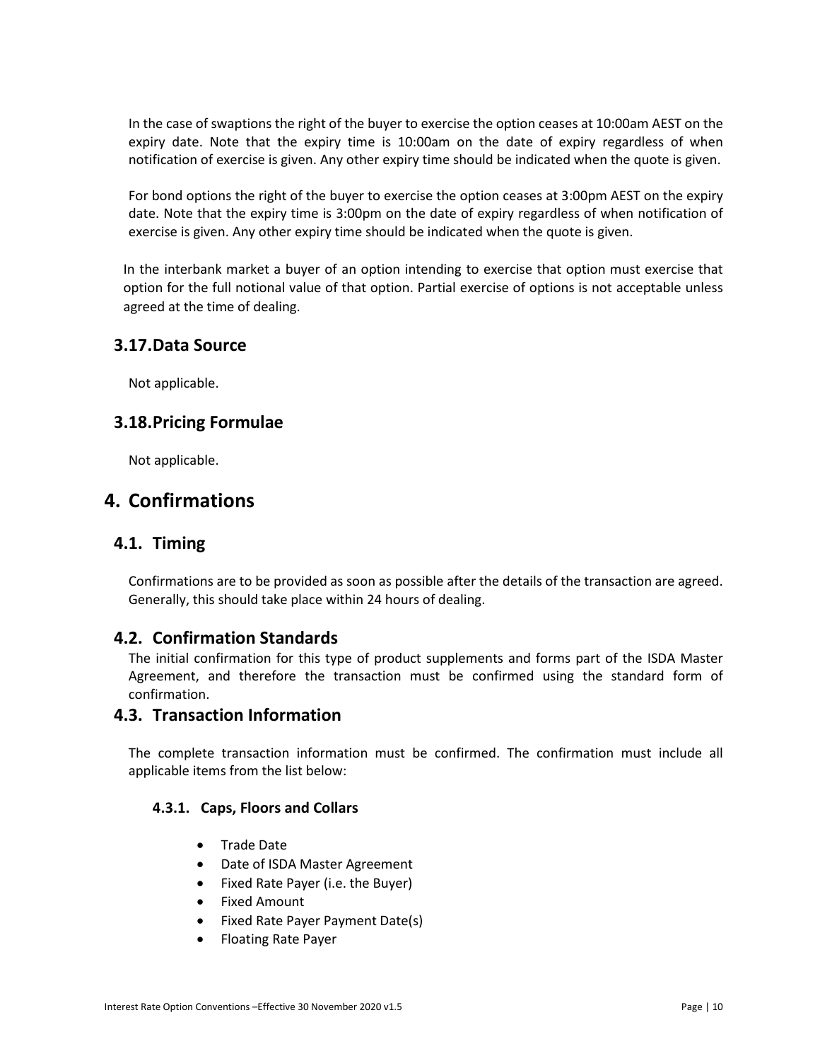In the case of swaptions the right of the buyer to exercise the option ceases at 10:00am AEST on the expiry date. Note that the expiry time is 10:00am on the date of expiry regardless of when notification of exercise is given. Any other expiry time should be indicated when the quote is given.

For bond options the right of the buyer to exercise the option ceases at 3:00pm AEST on the expiry date. Note that the expiry time is 3:00pm on the date of expiry regardless of when notification of exercise is given. Any other expiry time should be indicated when the quote is given.

In the interbank market a buyer of an option intending to exercise that option must exercise that option for the full notional value of that option. Partial exercise of options is not acceptable unless agreed at the time of dealing.

### <span id="page-9-0"></span>**3.17.Data Source**

Not applicable.

### <span id="page-9-1"></span>**3.18.Pricing Formulae**

Not applicable.

# <span id="page-9-2"></span>**4. Confirmations**

### <span id="page-9-3"></span>**4.1. Timing**

Confirmations are to be provided as soon as possible after the details of the transaction are agreed. Generally, this should take place within 24 hours of dealing.

### <span id="page-9-4"></span>**4.2. Confirmation Standards**

The initial confirmation for this type of product supplements and forms part of the ISDA Master Agreement, and therefore the transaction must be confirmed using the standard form of confirmation.

#### <span id="page-9-5"></span>**4.3. Transaction Information**

The complete transaction information must be confirmed. The confirmation must include all applicable items from the list below:

#### <span id="page-9-6"></span>**4.3.1. Caps, Floors and Collars**

- Trade Date
- Date of ISDA Master Agreement
- Fixed Rate Payer (i.e. the Buyer)
- Fixed Amount
- Fixed Rate Payer Payment Date(s)
- Floating Rate Payer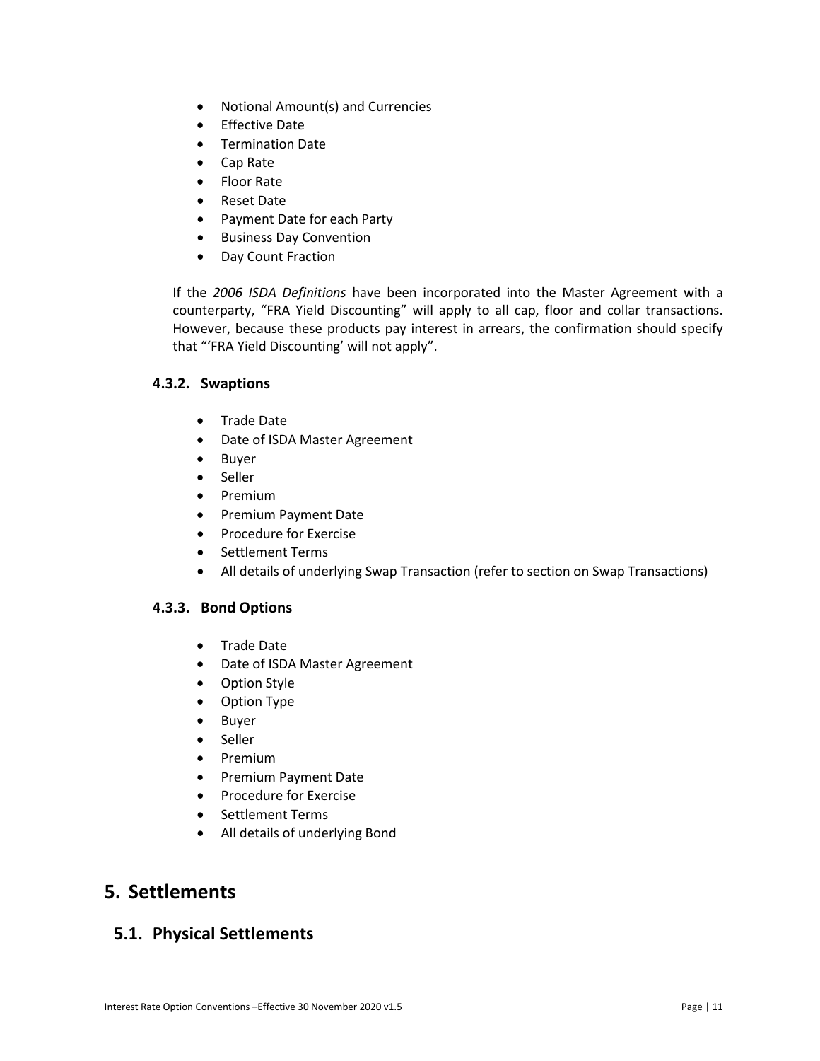- Notional Amount(s) and Currencies
- Effective Date
- Termination Date
- Cap Rate
- Floor Rate
- Reset Date
- Payment Date for each Party
- Business Day Convention
- Day Count Fraction

If the *2006 ISDA Definitions* have been incorporated into the Master Agreement with a counterparty, "FRA Yield Discounting" will apply to all cap, floor and collar transactions. However, because these products pay interest in arrears, the confirmation should specify that "'FRA Yield Discounting' will not apply".

#### <span id="page-10-0"></span>**4.3.2. Swaptions**

- Trade Date
- Date of ISDA Master Agreement
- Buyer
- Seller
- Premium
- Premium Payment Date
- Procedure for Exercise
- Settlement Terms
- All details of underlying Swap Transaction (refer to section on Swap Transactions)

#### <span id="page-10-1"></span>**4.3.3. Bond Options**

- Trade Date
- Date of ISDA Master Agreement
- Option Style
- Option Type
- Buyer
- Seller
- Premium
- Premium Payment Date
- Procedure for Exercise
- Settlement Terms
- All details of underlying Bond

# <span id="page-10-2"></span>**5. Settlements**

### <span id="page-10-3"></span>**5.1. Physical Settlements**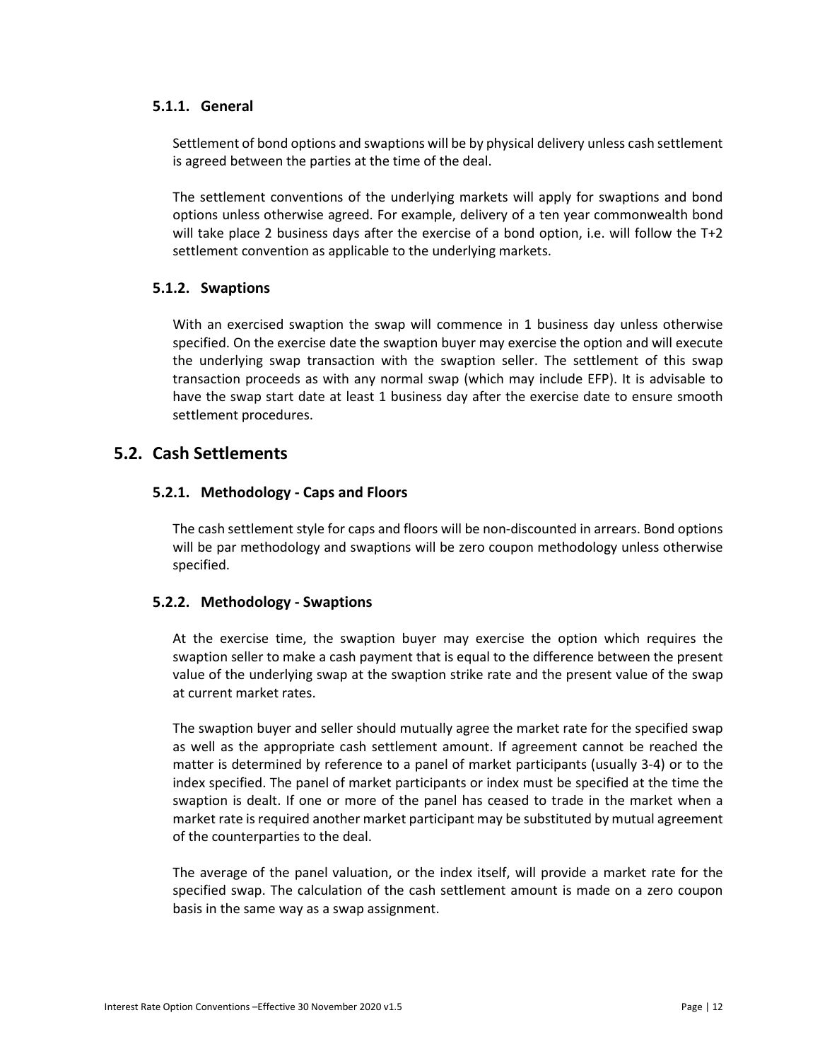#### <span id="page-11-0"></span>**5.1.1. General**

Settlement of bond options and swaptions will be by physical delivery unless cash settlement is agreed between the parties at the time of the deal.

The settlement conventions of the underlying markets will apply for swaptions and bond options unless otherwise agreed. For example, delivery of a ten year commonwealth bond will take place 2 business days after the exercise of a bond option, i.e. will follow the T+2 settlement convention as applicable to the underlying markets.

#### <span id="page-11-1"></span>**5.1.2. Swaptions**

With an exercised swaption the swap will commence in 1 business day unless otherwise specified. On the exercise date the swaption buyer may exercise the option and will execute the underlying swap transaction with the swaption seller. The settlement of this swap transaction proceeds as with any normal swap (which may include EFP). It is advisable to have the swap start date at least 1 business day after the exercise date to ensure smooth settlement procedures.

### <span id="page-11-3"></span><span id="page-11-2"></span>**5.2. Cash Settlements**

#### **5.2.1. Methodology - Caps and Floors**

The cash settlement style for caps and floors will be non-discounted in arrears. Bond options will be par methodology and swaptions will be zero coupon methodology unless otherwise specified.

#### <span id="page-11-4"></span>**5.2.2. Methodology - Swaptions**

At the exercise time, the swaption buyer may exercise the option which requires the swaption seller to make a cash payment that is equal to the difference between the present value of the underlying swap at the swaption strike rate and the present value of the swap at current market rates.

The swaption buyer and seller should mutually agree the market rate for the specified swap as well as the appropriate cash settlement amount. If agreement cannot be reached the matter is determined by reference to a panel of market participants (usually 3-4) or to the index specified. The panel of market participants or index must be specified at the time the swaption is dealt. If one or more of the panel has ceased to trade in the market when a market rate is required another market participant may be substituted by mutual agreement of the counterparties to the deal.

The average of the panel valuation, or the index itself, will provide a market rate for the specified swap. The calculation of the cash settlement amount is made on a zero coupon basis in the same way as a swap assignment.